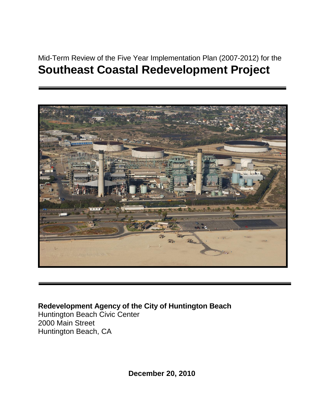# Mid-Term Review of the Five Year Implementation Plan (2007-2012) for the **Southeast Coastal Redevelopment Project**



# **Redevelopment Agency of the City of Huntington Beach**

Huntington Beach Civic Center 2000 Main Street Huntington Beach, CA

**December 20, 2010**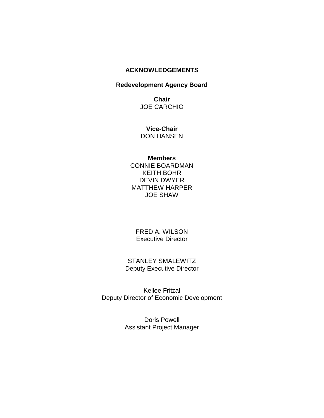## **ACKNOWLEDGEMENTS**

#### **Redevelopment Agency Board**

**Chair** JOE CARCHIO

**Vice-Chair** DON HANSEN

**Members**

CONNIE BOARDMAN KEITH BOHR DEVIN DWYER MATTHEW HARPER JOE SHAW

FRED A. WILSON Executive Director

STANLEY SMALEWITZ Deputy Executive Director

Kellee Fritzal Deputy Director of Economic Development

> Doris Powell Assistant Project Manager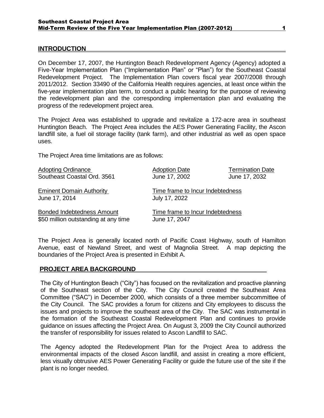#### **INTRODUCTION**

On December 17, 2007, the Huntington Beach Redevelopment Agency (Agency) adopted a Five-Year Implementation Plan ("Implementation Plan" or "Plan") for the Southeast Coastal Redevelopment Project. The Implementation Plan covers fiscal year 2007/2008 through 2011/2012. Section 33490 of the California Health requires agencies, at least once within the five-year implementation plan term, to conduct a public hearing for the purpose of reviewing the redevelopment plan and the corresponding implementation plan and evaluating the progress of the redevelopment project area.

The Project Area was established to upgrade and revitalize a 172-acre area in southeast Huntington Beach. The Project Area includes the AES Power Generating Facility, the Ascon landfill site, a fuel oil storage facility (tank farm), and other industrial as well as open space uses.

The Project Area time limitations are as follows:

| <b>Adopting Ordinance</b>            | <b>Adoption Date</b>             | <b>Termination Date</b> |
|--------------------------------------|----------------------------------|-------------------------|
| Southeast Coastal Ord. 3561          | June 17, 2002                    | June 17, 2032           |
| <b>Eminent Domain Authority</b>      | Time frame to Incur Indebtedness |                         |
| June 17, 2014                        | July 17, 2022                    |                         |
| <b>Bonded Indebtedness Amount</b>    | Time frame to Incur Indebtedness |                         |
| \$50 million outstanding at any time | June 17, 2047                    |                         |

The Project Area is generally located north of Pacific Coast Highway, south of Hamilton Avenue, east of Newland Street, and west of Magnolia Street. A map depicting the boundaries of the Project Area is presented in Exhibit A.

#### **PROJECT AREA BACKGROUND**

The City of Huntington Beach ("City") has focused on the revitalization and proactive planning of the Southeast section of the City. The City Council created the Southeast Area Committee ("SAC") in December 2000, which consists of a three member subcommittee of the City Council. The SAC provides a forum for citizens and City employees to discuss the issues and projects to improve the southeast area of the City. The SAC was instrumental in the formation of the Southeast Coastal Redevelopment Plan and continues to provide guidance on issues affecting the Project Area. On August 3, 2009 the City Council authorized the transfer of responsibility for issues related to Ascon Landfill to SAC.

The Agency adopted the Redevelopment Plan for the Project Area to address the environmental impacts of the closed Ascon landfill, and assist in creating a more efficient, less visually obtrusive AES Power Generating Facility or guide the future use of the site if the plant is no longer needed.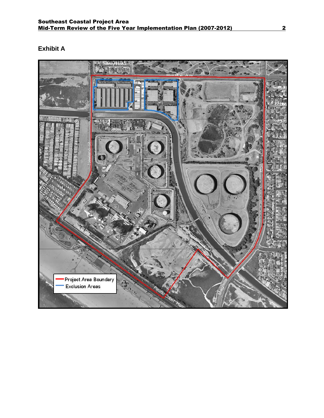# **Exhibit A**

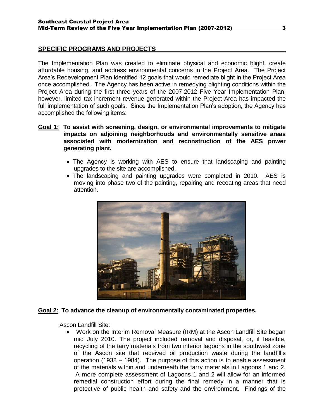#### **SPECIFIC PROGRAMS AND PROJECTS**

The Implementation Plan was created to eliminate physical and economic blight, create affordable housing, and address environmental concerns in the Project Area. The Project Area's Redevelopment Plan identified 12 goals that would remediate blight in the Project Area once accomplished. The Agency has been active in remedying blighting conditions within the Project Area during the first three years of the 2007-2012 Five Year Implementation Plan; however, limited tax increment revenue generated within the Project Area has impacted the full implementation of such goals. Since the Implementation Plan's adoption, the Agency has accomplished the following items:

#### **Goal 1: To assist with screening, design, or environmental improvements to mitigate impacts on adjoining neighborhoods and environmentally sensitive areas associated with modernization and reconstruction of the AES power generating plant.**

- The Agency is working with AES to ensure that landscaping and painting upgrades to the site are accomplished.
- The landscaping and painting upgrades were completed in 2010. AES is moving into phase two of the painting, repairing and recoating areas that need attention.



#### **Goal 2: To advance the cleanup of environmentally contaminated properties.**

Ascon Landfill Site:

Work on the Interim Removal Measure (IRM) at the Ascon Landfill Site began mid July 2010. The project included removal and disposal, or, if feasible, recycling of the tarry materials from two interior lagoons in the southwest zone of the Ascon site that received oil production waste during the landfill's operation (1938 – 1984). The purpose of this action is to enable assessment of the materials within and underneath the tarry materials in Lagoons 1 and 2. A more complete assessment of Lagoons 1 and 2 will allow for an informed remedial construction effort during the final remedy in a manner that is protective of public health and safety and the environment. Findings of the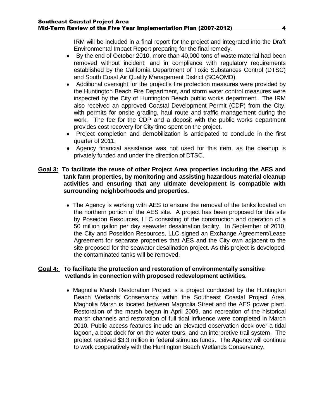IRM will be included in a final report for the project and integrated into the Draft Environmental Impact Report preparing for the final remedy.

- By the end of October 2010, more than 40,000 tons of waste material had been removed without incident, and in compliance with regulatory requirements established by the California Department of Toxic Substances Control (DTSC) and South Coast Air Quality Management District (SCAQMD).
- Additional oversight for the project's fire protection measures were provided by the Huntington Beach Fire Department, and storm water control measures were inspected by the City of Huntington Beach public works department. The IRM also received an approved Coastal Development Permit (CDP) from the City, with permits for onsite grading, haul route and traffic management during the work. The fee for the CDP and a deposit with the public works department provides cost recovery for City time spent on the project.
- Project completion and demobilization is anticipated to conclude in the first quarter of 2011.
- Agency financial assistance was not used for this item, as the cleanup is privately funded and under the direction of DTSC.

#### **Goal 3: To facilitate the reuse of other Project Area properties including the AES and tank farm properties, by monitoring and assisting hazardous material cleanup activities and ensuring that any ultimate development is compatible with surrounding neighborhoods and properties.**

• The Agency is working with AES to ensure the removal of the tanks located on the northern portion of the AES site. A project has been proposed for this site by Poseidon Resources, LLC consisting of the construction and operation of a 50 million gallon per day seawater desalination facility. In September of 2010, the City and Poseidon Resources, LLC signed an Exchange Agreement/Lease Agreement for separate properties that AES and the City own adjacent to the site proposed for the seawater desalination project. As this project is developed, the contaminated tanks will be removed.

#### **Goal 4: To facilitate the protection and restoration of environmentally sensitive wetlands in connection with proposed redevelopment activities.**

• Magnolia Marsh Restoration Project is a project conducted by the Huntington Beach Wetlands Conservancy within the Southeast Coastal Project Area. Magnolia Marsh is located between Magnolia Street and the AES power plant. Restoration of the marsh began in April 2009, and recreation of the historical marsh channels and restoration of full tidal influence were completed in March 2010. Public access features include an elevated observation deck over a tidal lagoon, a boat dock for on-the-water tours, and an interpretive trail system. The project received \$3.3 million in federal stimulus funds. The Agency will continue to work cooperatively with the Huntington Beach Wetlands Conservancy.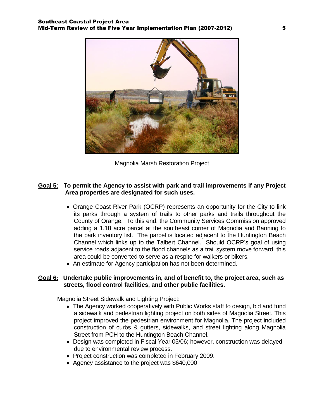

Magnolia Marsh Restoration Project

#### **Goal 5: To permit the Agency to assist with park and trail improvements if any Project Area properties are designated for such uses.**

- Orange Coast River Park (OCRP) represents an opportunity for the City to link its parks through a system of trails to other parks and trails throughout the County of Orange. To this end, the Community Services Commission approved adding a 1.18 acre parcel at the southeast corner of Magnolia and Banning to the park inventory list. The parcel is located adjacent to the Huntington Beach Channel which links up to the Talbert Channel. Should OCRP's goal of using service roads adjacent to the flood channels as a trail system move forward, this area could be converted to serve as a respite for walkers or bikers.
- An estimate for Agency participation has not been determined.

#### **Goal 6: Undertake public improvements in, and of benefit to, the project area, such as streets, flood control facilities, and other public facilities.**

Magnolia Street Sidewalk and Lighting Project:

- The Agency worked cooperatively with Public Works staff to design, bid and fund a sidewalk and pedestrian lighting project on both sides of Magnolia Street. This project improved the pedestrian environment for Magnolia. The project included construction of curbs & gutters, sidewalks, and street lighting along Magnolia Street from PCH to the Huntington Beach Channel.
- Design was completed in Fiscal Year 05/06; however, construction was delayed due to environmental review process.
- Project construction was completed in February 2009.
- Agency assistance to the project was \$640,000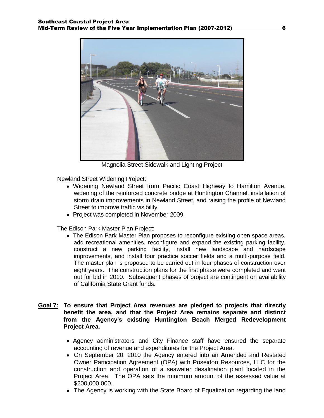

Magnolia Street Sidewalk and Lighting Project

Newland Street Widening Project:

- Widening Newland Street from Pacific Coast Highway to Hamilton Avenue, widening of the reinforced concrete bridge at Huntington Channel, installation of storm drain improvements in Newland Street, and raising the profile of Newland Street to improve traffic visibility.
- Project was completed in November 2009.

The Edison Park Master Plan Project:

- The Edison Park Master Plan proposes to reconfigure existing open space areas, add recreational amenities, reconfigure and expand the existing parking facility, construct a new parking facility, install new landscape and hardscape improvements, and install four practice soccer fields and a multi-purpose field. The master plan is proposed to be carried out in four phases of construction over eight years. The construction plans for the first phase were completed and went out for bid in 2010. Subsequent phases of project are contingent on availability of California State Grant funds.
- **Goal 7: To ensure that Project Area revenues are pledged to projects that directly benefit the area, and that the Project Area remains separate and distinct from the Agency's existing Huntington Beach Merged Redevelopment Project Area.**
	- Agency administrators and City Finance staff have ensured the separate accounting of revenue and expenditures for the Project Area.
	- On September 20, 2010 the Agency entered into an Amended and Restated Owner Participation Agreement (OPA) with Poseidon Resources, LLC for the construction and operation of a seawater desalination plant located in the Project Area. The OPA sets the minimum amount of the assessed value at \$200,000,000.
	- The Agency is working with the State Board of Equalization regarding the land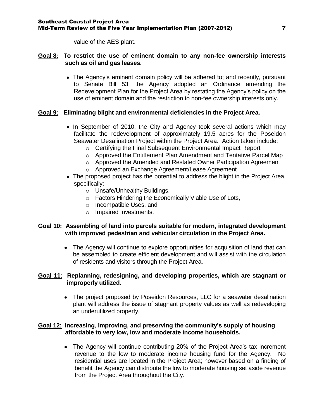value of the AES plant.

#### **Goal 8: To restrict the use of eminent domain to any non-fee ownership interests such as oil and gas leases.**

The Agency's eminent domain policy will be adhered to; and recently, pursuant to Senate Bill 53, the Agency adopted an Ordinance amending the Redevelopment Plan for the Project Area by restating the Agency's policy on the use of eminent domain and the restriction to non-fee ownership interests only.

#### **Goal 9: Eliminating blight and environmental deficiencies in the Project Area.**

- In September of 2010, the City and Agency took several actions which may facilitate the redevelopment of approximately 19.5 acres for the Poseidon Seawater Desalination Project within the Project Area. Action taken include:
	- o Certifying the Final Subsequent Environmental Impact Report
	- o Approved the Entitlement Plan Amendment and Tentative Parcel Map
	- o Approved the Amended and Restated Owner Participation Agreement
	- o Approved an Exchange Agreement/Lease Agreement
- The proposed project has the potential to address the blight in the Project Area, specifically:
	- o Unsafe/Unhealthy Buildings,
	- o Factors Hindering the Economically Viable Use of Lots,
	- o Incompatible Uses, and
	- o Impaired Investments.

#### **Goal 10: Assembling of land into parcels suitable for modern, integrated development with improved pedestrian and vehicular circulation in the Project Area.**

The Agency will continue to explore opportunities for acquisition of land that can be assembled to create efficient development and will assist with the circulation of residents and visitors through the Project Area.

#### **Goal 11: Replanning, redesigning, and developing properties, which are stagnant or improperly utilized.**

• The project proposed by Poseidon Resources, LLC for a seawater desalination plant will address the issue of stagnant property values as well as redeveloping an underutilized property.

#### **Goal 12: Increasing, improving, and preserving the community's supply of housing affordable to very low, low and moderate income households.**

• The Agency will continue contributing 20% of the Project Area's tax increment revenue to the low to moderate income housing fund for the Agency. No residential uses are located in the Project Area; however based on a finding of benefit the Agency can distribute the low to moderate housing set aside revenue from the Project Area throughout the City.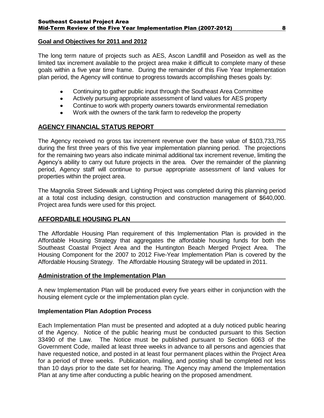#### **Goal and Objectives for 2011 and 2012**

The long term nature of projects such as AES, Ascon Landfill and Poseidon as well as the limited tax increment available to the project area make it difficult to complete many of these goals within a five year time frame. During the remainder of this Five Year Implementation plan period, the Agency will continue to progress towards accomplishing theses goals by:

- Continuing to gather public input through the Southeast Area Committee  $\bullet$
- $\bullet$ Actively pursuing appropriate assessment of land values for AES property
- Continue to work with property owners towards environmental remediation  $\bullet$
- Work with the owners of the tank farm to redevelop the property

## **AGENCY FINANCIAL STATUS REPORT**

The Agency received no gross tax increment revenue over the base value of \$103,733,755 during the first three years of this five year implementation planning period. The projections for the remaining two years also indicate minimal additional tax increment revenue, limiting the Agency's ability to carry out future projects in the area. Over the remainder of the planning period, Agency staff will continue to pursue appropriate assessment of land values for properties within the project area.

The Magnolia Street Sidewalk and Lighting Project was completed during this planning period at a total cost including design, construction and construction management of \$640,000. Project area funds were used for this project.

#### **AFFORDABLE HOUSING PLAN**

The Affordable Housing Plan requirement of this Implementation Plan is provided in the Affordable Housing Strategy that aggregates the affordable housing funds for both the Southeast Coastal Project Area and the Huntington Beach Merged Project Area. The Housing Component for the 2007 to 2012 Five-Year Implementation Plan is covered by the Affordable Housing Strategy. The Affordable Housing Strategy will be updated in 2011.

#### **Administration of the Implementation Plan**

A new Implementation Plan will be produced every five years either in conjunction with the housing element cycle or the implementation plan cycle.

#### **Implementation Plan Adoption Process**

Each Implementation Plan must be presented and adopted at a duly noticed public hearing of the Agency. Notice of the public hearing must be conducted pursuant to this Section 33490 of the Law. The Notice must be published pursuant to Section 6063 of the Government Code, mailed at least three weeks in advance to all persons and agencies that have requested notice, and posted in at least four permanent places within the Project Area for a period of three weeks. Publication, mailing, and posting shall be completed not less than 10 days prior to the date set for hearing. The Agency may amend the Implementation Plan at any time after conducting a public hearing on the proposed amendment.